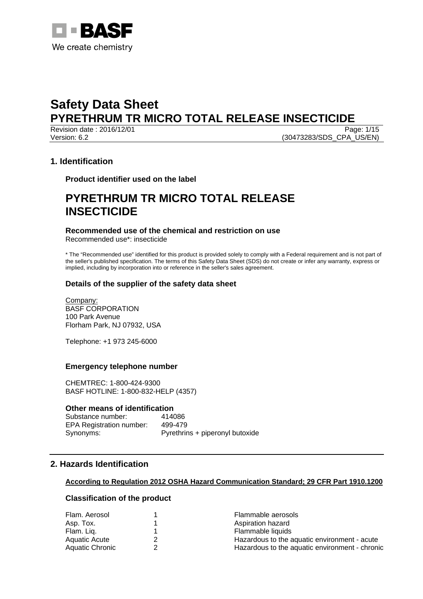

Revision date : 2016/12/01 Version: 6.2 (30473283/SDS\_CPA\_US/EN)

# **1. Identification**

**Product identifier used on the label** 

# **PYRETHRUM TR MICRO TOTAL RELEASE INSECTICIDE**

# **Recommended use of the chemical and restriction on use**

Recommended use\*: insecticide

\* The "Recommended use" identified for this product is provided solely to comply with a Federal requirement and is not part of the seller's published specification. The terms of this Safety Data Sheet (SDS) do not create or infer any warranty, express or implied, including by incorporation into or reference in the seller's sales agreement.

# **Details of the supplier of the safety data sheet**

Company: BASF CORPORATION 100 Park Avenue Florham Park, NJ 07932, USA

Telephone: +1 973 245-6000

# **Emergency telephone number**

CHEMTREC: 1-800-424-9300 BASF HOTLINE: 1-800-832-HELP (4357)

#### **Other means of identification**

| Substance number:               | 414086                          |
|---------------------------------|---------------------------------|
| <b>EPA Registration number:</b> | 499-479                         |
| Synonyms:                       | Pyrethrins + piperonyl butoxide |

# **2. Hazards Identification**

#### **According to Regulation 2012 OSHA Hazard Communication Standard; 29 CFR Part 1910.1200**

# **Classification of the product**

| Flam. Aerosol        | Flammable aerosols                             |  |
|----------------------|------------------------------------------------|--|
| Asp. Tox.            | Aspiration hazard                              |  |
| Flam. Liq.           | Flammable liquids                              |  |
| <b>Aquatic Acute</b> | Hazardous to the aquatic environment - acute   |  |
| Aquatic Chronic      | Hazardous to the aquatic environment - chronic |  |
|                      |                                                |  |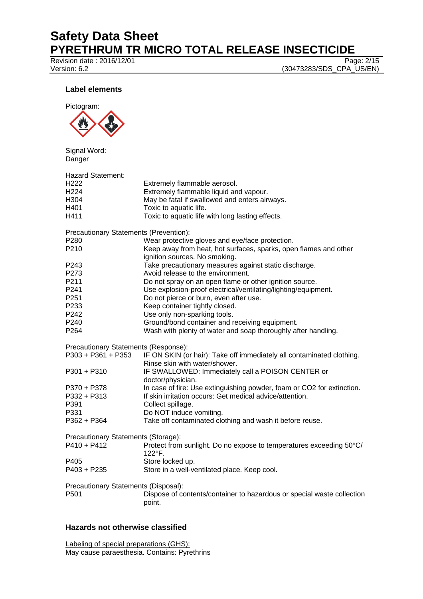# **Safety Data Sheet PYRETHRUM TR MICRO TOTAL RELEASE INSECTICIDE**<br>Revision date : 2016/12/01

Revision date : 2016/12/01<br>Version: 6.2

(30473283/SDS\_CPA\_US/EN)

# **Label elements**



Signal Word: Danger

| Hazard Statement:                             |                                                                                                        |
|-----------------------------------------------|--------------------------------------------------------------------------------------------------------|
| H222                                          | Extremely flammable aerosol.                                                                           |
| H224                                          | Extremely flammable liquid and vapour.                                                                 |
| H304                                          | May be fatal if swallowed and enters airways.                                                          |
| H401                                          | Toxic to aquatic life.                                                                                 |
| H411                                          | Toxic to aquatic life with long lasting effects.                                                       |
| <b>Precautionary Statements (Prevention):</b> |                                                                                                        |
| P280                                          | Wear protective gloves and eye/face protection.                                                        |
| P210                                          | Keep away from heat, hot surfaces, sparks, open flames and other<br>ignition sources. No smoking.      |
| P243                                          | Take precautionary measures against static discharge.                                                  |
| P273                                          | Avoid release to the environment.                                                                      |
| P211                                          | Do not spray on an open flame or other ignition source.                                                |
| P241                                          | Use explosion-proof electrical/ventilating/lighting/equipment.                                         |
| P251                                          | Do not pierce or burn, even after use.                                                                 |
| P233                                          | Keep container tightly closed.                                                                         |
| P242                                          | Use only non-sparking tools.                                                                           |
| P240                                          | Ground/bond container and receiving equipment.                                                         |
| P264                                          | Wash with plenty of water and soap thoroughly after handling.                                          |
| Precautionary Statements (Response):          |                                                                                                        |
| P303 + P361 + P353                            | IF ON SKIN (or hair): Take off immediately all contaminated clothing.<br>Rinse skin with water/shower. |
| P301 + P310                                   | IF SWALLOWED: Immediately call a POISON CENTER or                                                      |
|                                               | doctor/physician.                                                                                      |
| P370 + P378                                   | In case of fire: Use extinguishing powder, foam or CO2 for extinction.                                 |
| P332 + P313                                   | If skin irritation occurs: Get medical advice/attention.                                               |
| P391                                          | Collect spillage.                                                                                      |
| P331                                          | Do NOT induce vomiting.                                                                                |
| P362 + P364                                   | Take off contaminated clothing and wash it before reuse.                                               |
| Precautionary Statements (Storage):           |                                                                                                        |
| P410 + P412                                   | Protect from sunlight. Do no expose to temperatures exceeding 50°C/<br>122°F.                          |
| P405                                          | Store locked up.                                                                                       |
| P403 + P235                                   | Store in a well-ventilated place. Keep cool.                                                           |
| Precautionary Statements (Disposal):          |                                                                                                        |
| P501                                          | Dispose of contents/container to hazardous or special waste collection<br>point.                       |
|                                               |                                                                                                        |

# **Hazards not otherwise classified**

Labeling of special preparations (GHS): May cause paraesthesia. Contains: Pyrethrins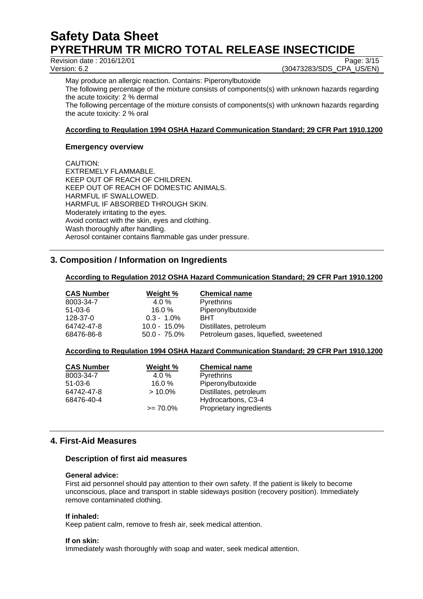Revision date : 2016/12/01<br>
Version: 6.2 (30473283/SDS\_CPA\_US/EN)

(30473283/SDS\_CPA\_US/EN)

May produce an allergic reaction. Contains: Piperonylbutoxide The following percentage of the mixture consists of components(s) with unknown hazards regarding the acute toxicity: 2 % dermal

The following percentage of the mixture consists of components(s) with unknown hazards regarding the acute toxicity: 2 % oral

# **According to Regulation 1994 OSHA Hazard Communication Standard; 29 CFR Part 1910.1200**

# **Emergency overview**

CAUTION: EXTREMELY FLAMMABLE. KEEP OUT OF REACH OF CHILDREN. KEEP OUT OF REACH OF DOMESTIC ANIMALS. HARMFUL IF SWALLOWED. HARMFUL IF ABSORBED THROUGH SKIN. Moderately irritating to the eyes. Avoid contact with the skin, eyes and clothing. Wash thoroughly after handling. Aerosol container contains flammable gas under pressure.

# **3. Composition / Information on Ingredients**

# **According to Regulation 2012 OSHA Hazard Communication Standard; 29 CFR Part 1910.1200**

| <b>CAS Number</b> | Weight %        | <b>Chemical name</b>                  |
|-------------------|-----------------|---------------------------------------|
| 8003-34-7         | 4.0 $%$         | <b>Pyrethrins</b>                     |
| $51 - 03 - 6$     | 16.0%           | Piperonylbutoxide                     |
| 128-37-0          | $0.3 - 1.0\%$   | <b>BHT</b>                            |
| 64742-47-8        | $10.0 - 15.0\%$ | Distillates, petroleum                |
| 68476-86-8        | $50.0 - 75.0\%$ | Petroleum gases, liquefied, sweetened |

#### **According to Regulation 1994 OSHA Hazard Communication Standard; 29 CFR Part 1910.1200**

| <b>CAS Number</b> | Weight %    | <b>Chemical name</b>    |
|-------------------|-------------|-------------------------|
| 8003-34-7         | 4.0 $%$     | Pyrethrins              |
| $51-03-6$         | 16.0%       | Piperonylbutoxide       |
| 64742-47-8        | $>10.0\%$   | Distillates, petroleum  |
| 68476-40-4        |             | Hydrocarbons, C3-4      |
|                   | $\ge$ 70.0% | Proprietary ingredients |

# **4. First-Aid Measures**

# **Description of first aid measures**

#### **General advice:**

First aid personnel should pay attention to their own safety. If the patient is likely to become unconscious, place and transport in stable sideways position (recovery position). Immediately remove contaminated clothing.

#### **If inhaled:**

Keep patient calm, remove to fresh air, seek medical attention.

#### **If on skin:**

Immediately wash thoroughly with soap and water, seek medical attention.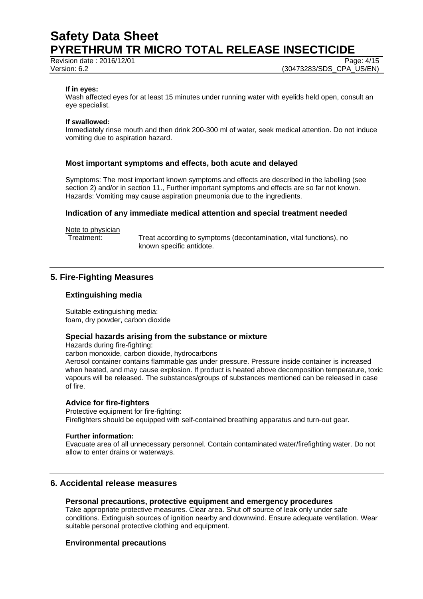Revision date : 2016/12/01 Page: 4/15

Version: 6.2 (30473283/SDS\_CPA\_US/EN)

#### **If in eyes:**

Wash affected eyes for at least 15 minutes under running water with eyelids held open, consult an eye specialist.

#### **If swallowed:**

Immediately rinse mouth and then drink 200-300 ml of water, seek medical attention. Do not induce vomiting due to aspiration hazard.

#### **Most important symptoms and effects, both acute and delayed**

Symptoms: The most important known symptoms and effects are described in the labelling (see section 2) and/or in section 11., Further important symptoms and effects are so far not known. Hazards: Vomiting may cause aspiration pneumonia due to the ingredients.

#### **Indication of any immediate medical attention and special treatment needed**

Note to physician

Treatment: Treat according to symptoms (decontamination, vital functions), no known specific antidote.

# **5. Fire-Fighting Measures**

#### **Extinguishing media**

Suitable extinguishing media: foam, dry powder, carbon dioxide

#### **Special hazards arising from the substance or mixture**

Hazards during fire-fighting:

carbon monoxide, carbon dioxide, hydrocarbons

Aerosol container contains flammable gas under pressure. Pressure inside container is increased when heated, and may cause explosion. If product is heated above decomposition temperature, toxic vapours will be released. The substances/groups of substances mentioned can be released in case of fire.

#### **Advice for fire-fighters**

Protective equipment for fire-fighting: Firefighters should be equipped with self-contained breathing apparatus and turn-out gear.

#### **Further information:**

Evacuate area of all unnecessary personnel. Contain contaminated water/firefighting water. Do not allow to enter drains or waterways.

# **6. Accidental release measures**

#### **Personal precautions, protective equipment and emergency procedures**

Take appropriate protective measures. Clear area. Shut off source of leak only under safe conditions. Extinguish sources of ignition nearby and downwind. Ensure adequate ventilation. Wear suitable personal protective clothing and equipment.

#### **Environmental precautions**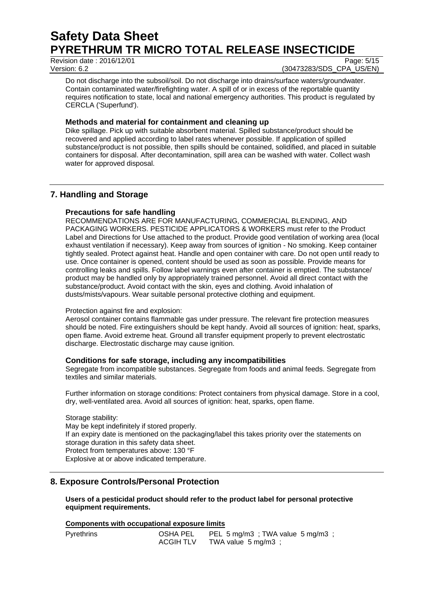# **Safety Data Sheet PYRETHRUM TR MICRO TOTAL RELEASE INSECTICIDE**<br>Revision date : 2016/12/01

Revision date  $\cdot$  2016/12/01

Version: 6.2 (30473283/SDS\_CPA\_US/EN)

Do not discharge into the subsoil/soil. Do not discharge into drains/surface waters/groundwater. Contain contaminated water/firefighting water. A spill of or in excess of the reportable quantity requires notification to state, local and national emergency authorities. This product is regulated by CERCLA ('Superfund').

# **Methods and material for containment and cleaning up**

Dike spillage. Pick up with suitable absorbent material. Spilled substance/product should be recovered and applied according to label rates whenever possible. If application of spilled substance/product is not possible, then spills should be contained, solidified, and placed in suitable containers for disposal. After decontamination, spill area can be washed with water. Collect wash water for approved disposal.

# **7. Handling and Storage**

# **Precautions for safe handling**

RECOMMENDATIONS ARE FOR MANUFACTURING, COMMERCIAL BLENDING, AND PACKAGING WORKERS. PESTICIDE APPLICATORS & WORKERS must refer to the Product Label and Directions for Use attached to the product. Provide good ventilation of working area (local exhaust ventilation if necessary). Keep away from sources of ignition - No smoking. Keep container tightly sealed. Protect against heat. Handle and open container with care. Do not open until ready to use. Once container is opened, content should be used as soon as possible. Provide means for controlling leaks and spills. Follow label warnings even after container is emptied. The substance/ product may be handled only by appropriately trained personnel. Avoid all direct contact with the substance/product. Avoid contact with the skin, eyes and clothing. Avoid inhalation of dusts/mists/vapours. Wear suitable personal protective clothing and equipment.

# Protection against fire and explosion:

Aerosol container contains flammable gas under pressure. The relevant fire protection measures should be noted. Fire extinguishers should be kept handy. Avoid all sources of ignition: heat, sparks, open flame. Avoid extreme heat. Ground all transfer equipment properly to prevent electrostatic discharge. Electrostatic discharge may cause ignition.

# **Conditions for safe storage, including any incompatibilities**

Segregate from incompatible substances. Segregate from foods and animal feeds. Segregate from textiles and similar materials.

Further information on storage conditions: Protect containers from physical damage. Store in a cool, dry, well-ventilated area. Avoid all sources of ignition: heat, sparks, open flame.

# Storage stability:

May be kept indefinitely if stored properly. If an expiry date is mentioned on the packaging/label this takes priority over the statements on storage duration in this safety data sheet. Protect from temperatures above: 130 °F Explosive at or above indicated temperature.

# **8. Exposure Controls/Personal Protection**

# **Users of a pesticidal product should refer to the product label for personal protective equipment requirements.**

# **Components with occupational exposure limits**

| Pyrethrins | OSHA PEL         | PEL 5 mg/m3 ; TWA value 5 mg/m3 ; |
|------------|------------------|-----------------------------------|
|            | <b>ACGIH TLV</b> | TWA value $5 \text{ mg/m3}$ ;     |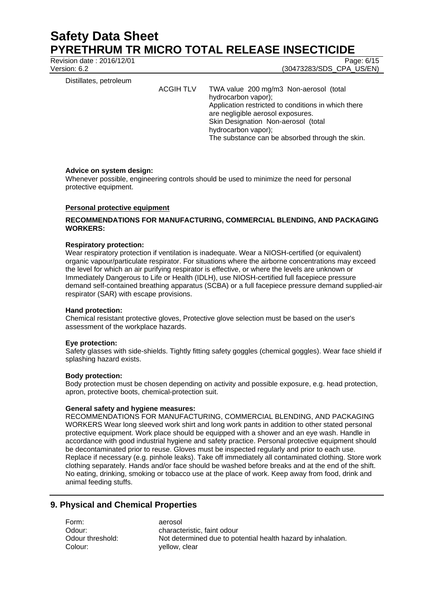Revision date : 2016/12/01 Page: 6/15

Version: 6.2 (30473283/SDS\_CPA\_US/EN)

Distillates, petroleum

ACGIH TLV TWA value 200 mg/m3 Non-aerosol (total hydrocarbon vapor); Application restricted to conditions in which there are negligible aerosol exposures. Skin Designation Non-aerosol (total hydrocarbon vapor); The substance can be absorbed through the skin.

#### **Advice on system design:**

Whenever possible, engineering controls should be used to minimize the need for personal protective equipment.

#### **Personal protective equipment**

# **RECOMMENDATIONS FOR MANUFACTURING, COMMERCIAL BLENDING, AND PACKAGING WORKERS:**

#### **Respiratory protection:**

Wear respiratory protection if ventilation is inadequate. Wear a NIOSH-certified (or equivalent) organic vapour/particulate respirator. For situations where the airborne concentrations may exceed the level for which an air purifying respirator is effective, or where the levels are unknown or Immediately Dangerous to Life or Health (IDLH), use NIOSH-certified full facepiece pressure demand self-contained breathing apparatus (SCBA) or a full facepiece pressure demand supplied-air respirator (SAR) with escape provisions.

#### **Hand protection:**

Chemical resistant protective gloves, Protective glove selection must be based on the user's assessment of the workplace hazards.

#### **Eye protection:**

Safety glasses with side-shields. Tightly fitting safety goggles (chemical goggles). Wear face shield if splashing hazard exists.

#### **Body protection:**

Body protection must be chosen depending on activity and possible exposure, e.g. head protection, apron, protective boots, chemical-protection suit.

#### **General safety and hygiene measures:**

RECOMMENDATIONS FOR MANUFACTURING, COMMERCIAL BLENDING, AND PACKAGING WORKERS Wear long sleeved work shirt and long work pants in addition to other stated personal protective equipment. Work place should be equipped with a shower and an eye wash. Handle in accordance with good industrial hygiene and safety practice. Personal protective equipment should be decontaminated prior to reuse. Gloves must be inspected regularly and prior to each use. Replace if necessary (e.g. pinhole leaks). Take off immediately all contaminated clothing. Store work clothing separately. Hands and/or face should be washed before breaks and at the end of the shift. No eating, drinking, smoking or tobacco use at the place of work. Keep away from food, drink and animal feeding stuffs.

# **9. Physical and Chemical Properties**

Form: aerosol Colour: yellow, clear

Odour: Characteristic, faint odour Odour threshold: Not determined due to potential health hazard by inhalation.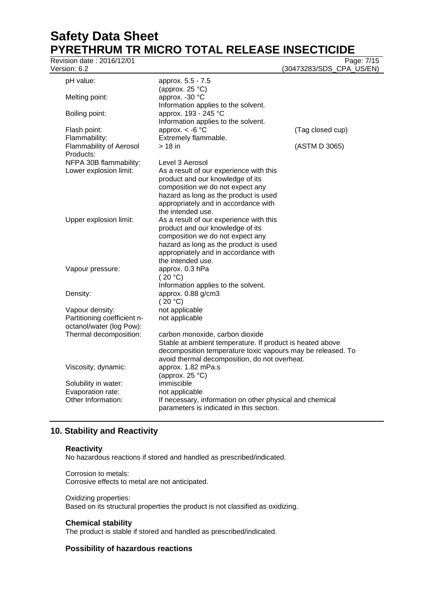# **Safety Data Sheet PYRETHRUM TR MICRO TOTAL RELEASE INSECTICIDE**<br>Revision date : 2016/12/01

| Revision date: 2016/12/01<br>Version: 6.2   |                                                             | Page: 7/15<br>(30473283/SDS_CPA_US/EN) |
|---------------------------------------------|-------------------------------------------------------------|----------------------------------------|
| pH value:                                   | approx. 5.5 - 7.5                                           |                                        |
|                                             | (approx. $25 °C$ )                                          |                                        |
| Melting point:                              | approx. - 30 °C                                             |                                        |
|                                             | Information applies to the solvent.                         |                                        |
| Boiling point:                              | approx. 193 - 245 °C                                        |                                        |
|                                             | Information applies to the solvent.                         |                                        |
| Flash point:                                | approx. $<$ -6 $^{\circ}$ C                                 | (Tag closed cup)                       |
| Flammability:                               | Extremely flammable.                                        |                                        |
| <b>Flammability of Aerosol</b><br>Products: | $> 18$ in                                                   | (ASTM D 3065)                          |
| NFPA 30B flammability:                      | Level 3 Aerosol                                             |                                        |
| Lower explosion limit:                      | As a result of our experience with this                     |                                        |
|                                             | product and our knowledge of its                            |                                        |
|                                             | composition we do not expect any                            |                                        |
|                                             | hazard as long as the product is used                       |                                        |
|                                             | appropriately and in accordance with                        |                                        |
|                                             | the intended use.                                           |                                        |
| Upper explosion limit:                      | As a result of our experience with this                     |                                        |
|                                             | product and our knowledge of its                            |                                        |
|                                             | composition we do not expect any                            |                                        |
|                                             | hazard as long as the product is used                       |                                        |
|                                             | appropriately and in accordance with                        |                                        |
|                                             | the intended use.                                           |                                        |
| Vapour pressure:                            | approx. 0.3 hPa                                             |                                        |
|                                             | (20 °C)                                                     |                                        |
| Density:                                    | Information applies to the solvent.<br>approx. 0.88 g/cm3   |                                        |
|                                             | (20 °C)                                                     |                                        |
| Vapour density:                             | not applicable                                              |                                        |
| Partitioning coefficient n-                 | not applicable                                              |                                        |
| octanol/water (log Pow):                    |                                                             |                                        |
| Thermal decomposition:                      | carbon monoxide, carbon dioxide                             |                                        |
|                                             | Stable at ambient temperature. If product is heated above   |                                        |
|                                             | decomposition temperature toxic vapours may be released. To |                                        |
|                                             | avoid thermal decomposition, do not overheat.               |                                        |
| Viscosity, dynamic:                         | approx. 1.82 mPa.s                                          |                                        |
|                                             | (approx. $25^{\circ}$ C)                                    |                                        |
| Solubility in water:                        | immiscible                                                  |                                        |
| Evaporation rate:                           | not applicable                                              |                                        |
| Other Information:                          | If necessary, information on other physical and chemical    |                                        |
|                                             | parameters is indicated in this section.                    |                                        |

# **10. Stability and Reactivity**

# **Reactivity**

No hazardous reactions if stored and handled as prescribed/indicated.

Corrosion to metals: Corrosive effects to metal are not anticipated.

#### Oxidizing properties: Based on its structural properties the product is not classified as oxidizing.

# **Chemical stability**

The product is stable if stored and handled as prescribed/indicated.

# **Possibility of hazardous reactions**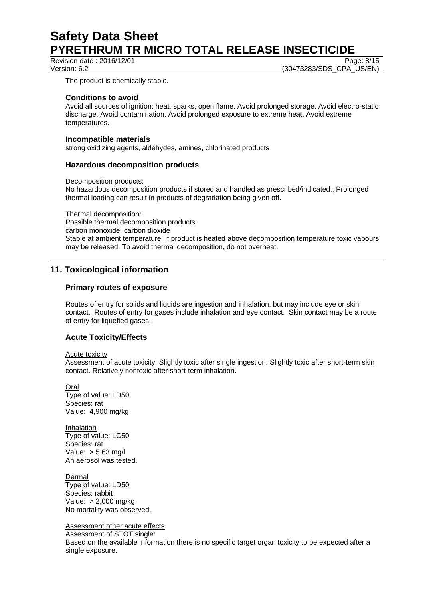Revision date : 2016/12/01 Page: 8/15

Version: 6.2 (30473283/SDS\_CPA\_US/EN)

The product is chemically stable.

#### **Conditions to avoid**

Avoid all sources of ignition: heat, sparks, open flame. Avoid prolonged storage. Avoid electro-static discharge. Avoid contamination. Avoid prolonged exposure to extreme heat. Avoid extreme temperatures.

#### **Incompatible materials**

strong oxidizing agents, aldehydes, amines, chlorinated products

# **Hazardous decomposition products**

Decomposition products:

No hazardous decomposition products if stored and handled as prescribed/indicated., Prolonged thermal loading can result in products of degradation being given off.

Thermal decomposition: Possible thermal decomposition products: carbon monoxide, carbon dioxide Stable at ambient temperature. If product is heated above decomposition temperature toxic vapours may be released. To avoid thermal decomposition, do not overheat.

# **11. Toxicological information**

# **Primary routes of exposure**

Routes of entry for solids and liquids are ingestion and inhalation, but may include eye or skin contact. Routes of entry for gases include inhalation and eye contact. Skin contact may be a route of entry for liquefied gases.

# **Acute Toxicity/Effects**

Acute toxicity

Assessment of acute toxicity: Slightly toxic after single ingestion. Slightly toxic after short-term skin contact. Relatively nontoxic after short-term inhalation.

Oral Type of value: LD50 Species: rat Value: 4,900 mg/kg

Inhalation Type of value: LC50 Species: rat Value: > 5.63 mg/l An aerosol was tested.

Dermal Type of value: LD50 Species: rabbit Value: > 2,000 mg/kg No mortality was observed.

Assessment other acute effects

Assessment of STOT single: Based on the available information there is no specific target organ toxicity to be expected after a single exposure.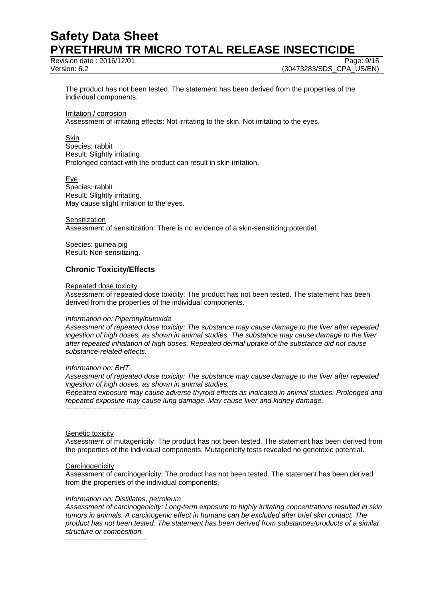Revision date : 2016/12/01 Page: 9/15

Version: 6.2 (30473283/SDS\_CPA\_US/EN)

The product has not been tested. The statement has been derived from the properties of the individual components.

Irritation / corrosion

Assessment of irritating effects: Not irritating to the skin. Not irritating to the eyes.

Skin

Species: rabbit Result: Slightly irritating. Prolonged contact with the product can result in skin irritation.

Eye Species: rabbit Result: Slightly irritating. May cause slight irritation to the eyes.

**Sensitization** Assessment of sensitization: There is no evidence of a skin-sensitizing potential.

Species: guinea pig Result: Non-sensitizing.

# **Chronic Toxicity/Effects**

#### Repeated dose toxicity

Assessment of repeated dose toxicity: The product has not been tested. The statement has been derived from the properties of the individual components.

#### *Information on: Piperonylbutoxide*

*Assessment of repeated dose toxicity: The substance may cause damage to the liver after repeated ingestion of high doses, as shown in animal studies. The substance may cause damage to the liver after repeated inhalation of high doses. Repeated dermal uptake of the substance did not cause substance-related effects.* 

#### *Information on: BHT*

*Assessment of repeated dose toxicity: The substance may cause damage to the liver after repeated ingestion of high doses, as shown in animal studies.* 

*Repeated exposure may cause adverse thyroid effects as indicated in animal studies. Prolonged and repeated exposure may cause lung damage. May cause liver and kidney damage.* 

----------------------------------

#### Genetic toxicity

Assessment of mutagenicity: The product has not been tested. The statement has been derived from the properties of the individual components. Mutagenicity tests revealed no genotoxic potential.

#### **Carcinogenicity**

Assessment of carcinogenicity: The product has not been tested. The statement has been derived from the properties of the individual components.

#### *Information on: Distillates, petroleum*

*Assessment of carcinogenicity: Long-term exposure to highly irritating concentrations resulted in skin tumors in animals. A carcinogenic effect in humans can be excluded after brief skin contact. The product has not been tested. The statement has been derived from substances/products of a similar structure or composition.* 

----------------------------------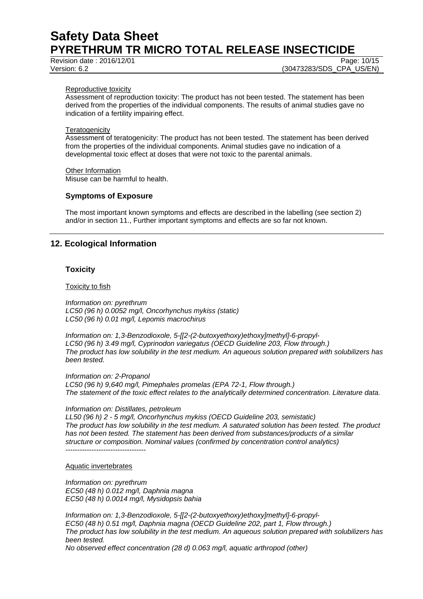Revision date : 2016/12/01 Page: 10/15

Version: 6.2 (30473283/SDS\_CPA\_US/EN)

#### Reproductive toxicity

Assessment of reproduction toxicity: The product has not been tested. The statement has been derived from the properties of the individual components. The results of animal studies gave no indication of a fertility impairing effect.

#### **Teratogenicity**

Assessment of teratogenicity: The product has not been tested. The statement has been derived from the properties of the individual components. Animal studies gave no indication of a developmental toxic effect at doses that were not toxic to the parental animals.

Other Information Misuse can be harmful to health.

#### **Symptoms of Exposure**

The most important known symptoms and effects are described in the labelling (see section 2) and/or in section 11., Further important symptoms and effects are so far not known.

# **12. Ecological Information**

#### **Toxicity**

Toxicity to fish

*Information on: pyrethrum LC50 (96 h) 0.0052 mg/l, Oncorhynchus mykiss (static) LC50 (96 h) 0.01 mg/l, Lepomis macrochirus* 

*Information on: 1,3-Benzodioxole, 5-[[2-(2-butoxyethoxy)ethoxy]methyl]-6-propyl-LC50 (96 h) 3.49 mg/l, Cyprinodon variegatus (OECD Guideline 203, Flow through.) The product has low solubility in the test medium. An aqueous solution prepared with solubilizers has been tested.* 

*Information on: 2-Propanol LC50 (96 h) 9,640 mg/l, Pimephales promelas (EPA 72-1, Flow through.) The statement of the toxic effect relates to the analytically determined concentration. Literature data.* 

#### *Information on: Distillates, petroleum*

*LL50 (96 h) 2 - 5 mg/l, Oncorhynchus mykiss (OECD Guideline 203, semistatic) The product has low solubility in the test medium. A saturated solution has been tested. The product has not been tested. The statement has been derived from substances/products of a similar structure or composition. Nominal values (confirmed by concentration control analytics)*  ----------------------------------

#### Aquatic invertebrates

*Information on: pyrethrum EC50 (48 h) 0.012 mg/l, Daphnia magna EC50 (48 h) 0.0014 mg/l, Mysidopsis bahia* 

*Information on: 1,3-Benzodioxole, 5-[[2-(2-butoxyethoxy)ethoxy]methyl]-6-propyl-EC50 (48 h) 0.51 mg/l, Daphnia magna (OECD Guideline 202, part 1, Flow through.) The product has low solubility in the test medium. An aqueous solution prepared with solubilizers has been tested.* 

*No observed effect concentration (28 d) 0.063 mg/l, aquatic arthropod (other)*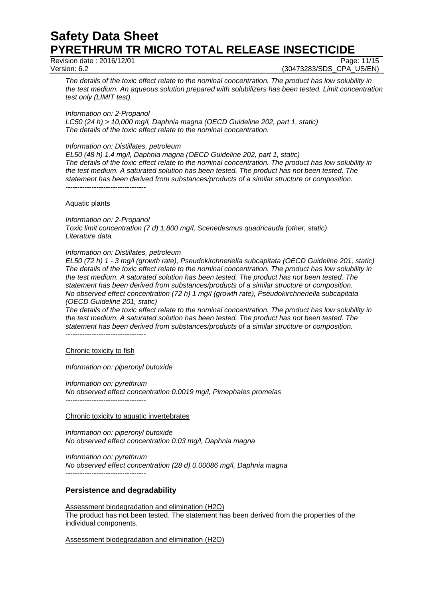Revision date : 2016/12/01 Page: 11/15

Version: 6.2 (30473283/SDS\_CPA\_US/EN)

*The details of the toxic effect relate to the nominal concentration. The product has low solubility in the test medium. An aqueous solution prepared with solubilizers has been tested. Limit concentration test only (LIMIT test).* 

*Information on: 2-Propanol* 

*LC50 (24 h) > 10,000 mg/l, Daphnia magna (OECD Guideline 202, part 1, static) The details of the toxic effect relate to the nominal concentration.* 

#### *Information on: Distillates, petroleum*

*EL50 (48 h) 1.4 mg/l, Daphnia magna (OECD Guideline 202, part 1, static) The details of the toxic effect relate to the nominal concentration. The product has low solubility in the test medium. A saturated solution has been tested. The product has not been tested. The statement has been derived from substances/products of a similar structure or composition.*  ----------------------------------

#### Aquatic plants

*Information on: 2-Propanol Toxic limit concentration (7 d) 1,800 mg/l, Scenedesmus quadricauda (other, static)* 

*Literature data.* 

#### *Information on: Distillates, petroleum*

*EL50 (72 h) 1 - 3 mg/l (growth rate), Pseudokirchneriella subcapitata (OECD Guideline 201, static) The details of the toxic effect relate to the nominal concentration. The product has low solubility in the test medium. A saturated solution has been tested. The product has not been tested. The statement has been derived from substances/products of a similar structure or composition. No observed effect concentration (72 h) 1 mg/l (growth rate), Pseudokirchneriella subcapitata (OECD Guideline 201, static)* 

*The details of the toxic effect relate to the nominal concentration. The product has low solubility in the test medium. A saturated solution has been tested. The product has not been tested. The statement has been derived from substances/products of a similar structure or composition.*  ----------------------------------

Chronic toxicity to fish

*Information on: piperonyl butoxide* 

*Information on: pyrethrum* 

*No observed effect concentration 0.0019 mg/l, Pimephales promelas*  ----------------------------------

#### Chronic toxicity to aquatic invertebrates

*Information on: piperonyl butoxide No observed effect concentration 0.03 mg/l, Daphnia magna* 

*Information on: pyrethrum No observed effect concentration (28 d) 0.00086 mg/l, Daphnia magna*  ----------------------------------

# **Persistence and degradability**

Assessment biodegradation and elimination (H2O) The product has not been tested. The statement has been derived from the properties of the individual components.

Assessment biodegradation and elimination (H2O)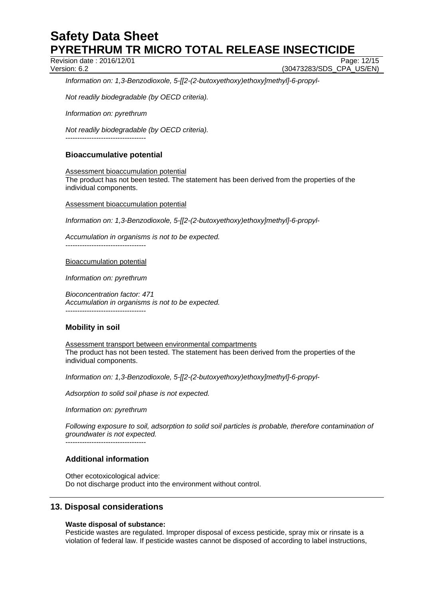Revision date : 2016/12/01 Page: 12/15

Version: 6.2 (30473283/SDS\_CPA\_US/EN)

*Information on: 1,3-Benzodioxole, 5-[[2-(2-butoxyethoxy)ethoxy]methyl]-6-propyl-*

*Not readily biodegradable (by OECD criteria).* 

*Information on: pyrethrum* 

*Not readily biodegradable (by OECD criteria).* 

----------------------------------

# **Bioaccumulative potential**

Assessment bioaccumulation potential The product has not been tested. The statement has been derived from the properties of the individual components.

Assessment bioaccumulation potential

*Information on: 1,3-Benzodioxole, 5-[[2-(2-butoxyethoxy)ethoxy]methyl]-6-propyl-*

*Accumulation in organisms is not to be expected.* 

----------------------------------

Bioaccumulation potential

*Information on: pyrethrum* 

*Bioconcentration factor: 471 Accumulation in organisms is not to be expected.*  ----------------------------------

# **Mobility in soil**

Assessment transport between environmental compartments The product has not been tested. The statement has been derived from the properties of the individual components.

*Information on: 1,3-Benzodioxole, 5-[[2-(2-butoxyethoxy)ethoxy]methyl]-6-propyl-*

*Adsorption to solid soil phase is not expected.*

*Information on: pyrethrum* 

*Following exposure to soil, adsorption to solid soil particles is probable, therefore contamination of groundwater is not expected.*

----------------------------------

# **Additional information**

Other ecotoxicological advice: Do not discharge product into the environment without control.

# **13. Disposal considerations**

#### **Waste disposal of substance:**

Pesticide wastes are regulated. Improper disposal of excess pesticide, spray mix or rinsate is a violation of federal law. If pesticide wastes cannot be disposed of according to label instructions,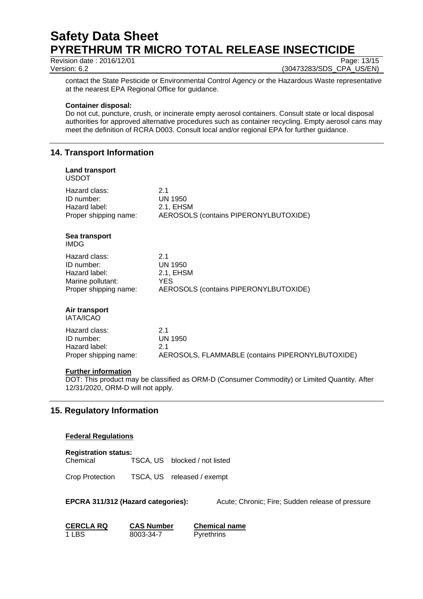Revision date : 2016/12/01 Page: 13/15

Version: 6.2 (30473283/SDS\_CPA\_US/EN)

contact the State Pesticide or Environmental Control Agency or the Hazardous Waste representative at the nearest EPA Regional Office for guidance.

#### **Container disposal:**

Do not cut, puncture, crush, or incinerate empty aerosol containers. Consult state or local disposal authorities for approved alternative procedures such as container recycling. Empty aerosol cans may meet the definition of RCRA D003. Consult local and/or regional EPA for further guidance.

# **14. Transport Information**

# **Land transport**  USDOT Hazard class: 2.1 ID number: UN 1950 Hazard label: 2.1, EHSM

Proper shipping name: AEROSOLS (contains PIPERONYLBUTOXIDE)

#### **Sea transport**  IMDG

| 21                                    |
|---------------------------------------|
| UN 1950                               |
| 2.1. EHSM                             |
| YFS                                   |
| AEROSOLS (contains PIPERONYLBUTOXIDE) |
|                                       |

# **Air transport**

IATA/ICAO

| Hazard class:         | 21                                               |
|-----------------------|--------------------------------------------------|
| ID number:            | UN 1950                                          |
| Hazard label:         | 21                                               |
| Proper shipping name: | AEROSOLS, FLAMMABLE (contains PIPERONYLBUTOXIDE) |

# **Further information**

DOT: This product may be classified as ORM-D (Consumer Commodity) or Limited Quantity. After 12/31/2020, ORM-D will not apply.

# **15. Regulatory Information**

# **Federal Regulations**

#### **Registration status:**

Chemical TSCA, US blocked / not listed

Crop Protection TSCA, US released / exempt

**EPCRA 311/312 (Hazard categories):** Acute; Chronic; Fire; Sudden release of pressure

**CERCLA RQ CAS Number Chemical name** 1 LBS 8003-34-7 Pyrethrins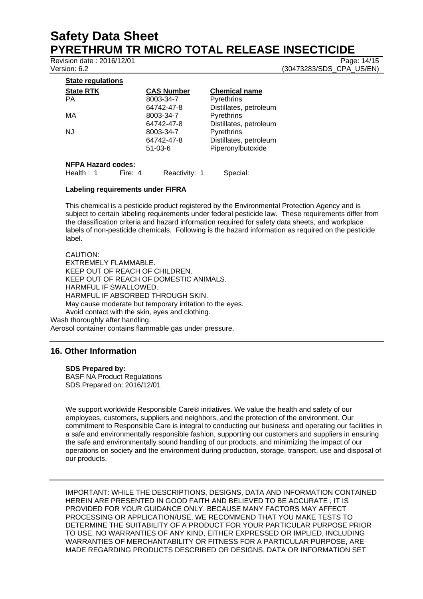Revision date : 2016/12/01 Page: 14/15

Version: 6.2 (30473283/SDS\_CPA\_US/EN)

| <b>State RTK</b>          | <b>CAS Number</b> | <b>Chemical name</b>   |
|---------------------------|-------------------|------------------------|
| РA                        | 8003-34-7         | Pyrethrins             |
|                           | 64742-47-8        | Distillates, petroleum |
| МA                        | 8003-34-7         | Pyrethrins             |
|                           | 64742-47-8        | Distillates, petroleum |
| NJ                        | 8003-34-7         | Pyrethrins             |
|                           | 64742-47-8        | Distillates, petroleum |
|                           | $51-03-6$         | Piperonylbutoxide      |
| <b>NFPA Hazard codes:</b> |                   |                        |

Health : 1 Fire: 4 Reactivity: 1 Special:

#### **Labeling requirements under FIFRA**

This chemical is a pesticide product registered by the Environmental Protection Agency and is subject to certain labeling requirements under federal pesticide law. These requirements differ from the classification criteria and hazard information required for safety data sheets, and workplace labels of non-pesticide chemicals. Following is the hazard information as required on the pesticide label.

CAUTION: EXTREMELY FLAMMABLE. KEEP OUT OF REACH OF CHILDREN. KEEP OUT OF REACH OF DOMESTIC ANIMALS. HARMFUL IF SWALLOWED. HARMFUL IF ABSORBED THROUGH SKIN. May cause moderate but temporary irritation to the eyes. Avoid contact with the skin, eyes and clothing. Wash thoroughly after handling.

Aerosol container contains flammable gas under pressure.

# **16. Other Information**

**SDS Prepared by:** 

BASF NA Product Regulations SDS Prepared on: 2016/12/01

We support worldwide Responsible Care® initiatives. We value the health and safety of our employees, customers, suppliers and neighbors, and the protection of the environment. Our commitment to Responsible Care is integral to conducting our business and operating our facilities in a safe and environmentally responsible fashion, supporting our customers and suppliers in ensuring the safe and environmentally sound handling of our products, and minimizing the impact of our operations on society and the environment during production, storage, transport, use and disposal of our products.

IMPORTANT: WHILE THE DESCRIPTIONS, DESIGNS, DATA AND INFORMATION CONTAINED HEREIN ARE PRESENTED IN GOOD FAITH AND BELIEVED TO BE ACCURATE , IT IS PROVIDED FOR YOUR GUIDANCE ONLY. BECAUSE MANY FACTORS MAY AFFECT PROCESSING OR APPLICATION/USE, WE RECOMMEND THAT YOU MAKE TESTS TO DETERMINE THE SUITABILITY OF A PRODUCT FOR YOUR PARTICULAR PURPOSE PRIOR TO USE. NO WARRANTIES OF ANY KIND, EITHER EXPRESSED OR IMPLIED, INCLUDING WARRANTIES OF MERCHANTABILITY OR FITNESS FOR A PARTICULAR PURPOSE, ARE MADE REGARDING PRODUCTS DESCRIBED OR DESIGNS, DATA OR INFORMATION SET